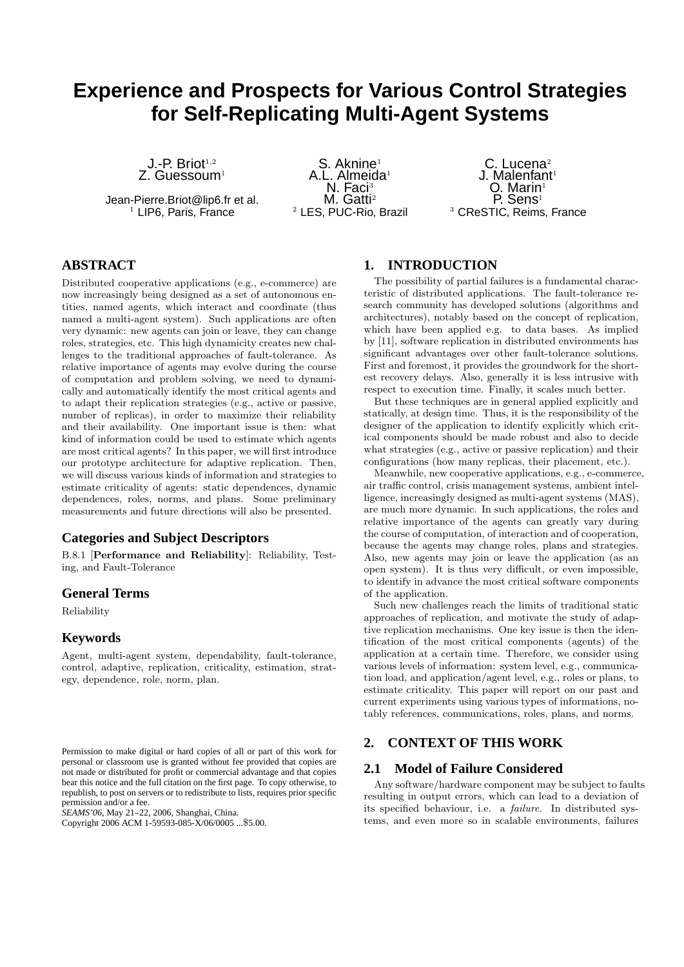# **Experience and Prospects for Various Control Strategies for Self-Replicating Multi-Agent Systems**

 $J.-P.$  Briot $^{1,2}$  $Z.$  Guessoum<sup>1</sup>

Jean-Pierre.Briot@lip6.fr et al. <sup>1</sup> LIP6, Paris, France

 $S.$  Aknine<sup>1</sup>  $A.L.$  Almeida<sup>1</sup> N. Faci<sup>3</sup> M. Gatti<sup>2</sup> <sup>2</sup> LES, PUC-Rio, Brazil

C. Lucena<sup>2</sup>  $J.$  Malenfant<sup>1</sup> O. Marin<sup>1</sup> P. Sens<sup>1</sup> <sup>3</sup> CReSTIC, Reims, France

## **ABSTRACT**

Distributed cooperative applications (e.g., e-commerce) are now increasingly being designed as a set of autonomous entities, named agents, which interact and coordinate (thus named a multi-agent system). Such applications are often very dynamic: new agents can join or leave, they can change roles, strategies, etc. This high dynamicity creates new challenges to the traditional approaches of fault-tolerance. As relative importance of agents may evolve during the course of computation and problem solving, we need to dynamically and automatically identify the most critical agents and to adapt their replication strategies (e.g., active or passive, number of replicas), in order to maximize their reliability and their availability. One important issue is then: what kind of information could be used to estimate which agents are most critical agents? In this paper, we will first introduce our prototype architecture for adaptive replication. Then, we will discuss various kinds of information and strategies to estimate criticality of agents: static dependences, dynamic dependences, roles, norms, and plans. Some preliminary measurements and future directions will also be presented.

## **Categories and Subject Descriptors**

B.8.1 [Performance and Reliability]: Reliability, Testing, and Fault-Tolerance

#### **General Terms**

Reliability

#### **Keywords**

Agent, multi-agent system, dependability, fault-tolerance, control, adaptive, replication, criticality, estimation, strategy, dependence, role, norm, plan.

*SEAMS'06,* May 21–22, 2006, Shanghai, China.

#### **1. INTRODUCTION**

The possibility of partial failures is a fundamental characteristic of distributed applications. The fault-tolerance research community has developed solutions (algorithms and architectures), notably based on the concept of replication, which have been applied e.g. to data bases. As implied by [11], software replication in distributed environments has significant advantages over other fault-tolerance solutions. First and foremost, it provides the groundwork for the shortest recovery delays. Also, generally it is less intrusive with respect to execution time. Finally, it scales much better.

But these techniques are in general applied explicitly and statically, at design time. Thus, it is the responsibility of the designer of the application to identify explicitly which critical components should be made robust and also to decide what strategies (e.g., active or passive replication) and their configurations (how many replicas, their placement, etc.).

Meanwhile, new cooperative applications, e.g., e-commerce, air traffic control, crisis management systems, ambient intelligence, increasingly designed as multi-agent systems (MAS), are much more dynamic. In such applications, the roles and relative importance of the agents can greatly vary during the course of computation, of interaction and of cooperation, because the agents may change roles, plans and strategies. Also, new agents may join or leave the application (as an open system). It is thus very difficult, or even impossible, to identify in advance the most critical software components of the application.

Such new challenges reach the limits of traditional static approaches of replication, and motivate the study of adaptive replication mechanisms. One key issue is then the identification of the most critical components (agents) of the application at a certain time. Therefore, we consider using various levels of information: system level, e.g., communication load, and application/agent level, e.g., roles or plans, to estimate criticality. This paper will report on our past and current experiments using various types of informations, notably references, communications, roles, plans, and norms.

# **2. CONTEXT OF THIS WORK**

#### **2.1 Model of Failure Considered**

Any software/hardware component may be subject to faults resulting in output errors, which can lead to a deviation of its specified behaviour, i.e. a failure. In distributed systems, and even more so in scalable environments, failures

Permission to make digital or hard copies of all or part of this work for personal or classroom use is granted without fee provided that copies are not made or distributed for profit or commercial advantage and that copies bear this notice and the full citation on the first page. To copy otherwise, to republish, to post on servers or to redistribute to lists, requires prior specific permission and/or a fee.

Copyright 2006 ACM 1-59593-085-X/06/0005 ...\$5.00.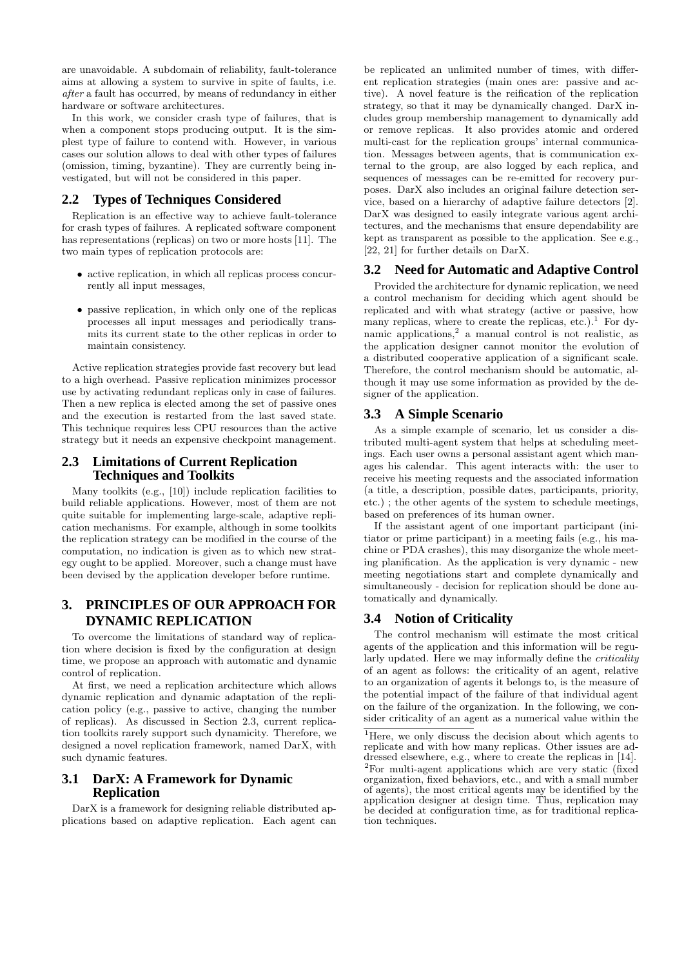are unavoidable. A subdomain of reliability, fault-tolerance aims at allowing a system to survive in spite of faults, i.e. after a fault has occurred, by means of redundancy in either hardware or software architectures.

In this work, we consider crash type of failures, that is when a component stops producing output. It is the simplest type of failure to contend with. However, in various cases our solution allows to deal with other types of failures (omission, timing, byzantine). They are currently being investigated, but will not be considered in this paper.

#### **2.2 Types of Techniques Considered**

Replication is an effective way to achieve fault-tolerance for crash types of failures. A replicated software component has representations (replicas) on two or more hosts [11]. The two main types of replication protocols are:

- active replication, in which all replicas process concurrently all input messages,
- passive replication, in which only one of the replicas processes all input messages and periodically transmits its current state to the other replicas in order to maintain consistency.

Active replication strategies provide fast recovery but lead to a high overhead. Passive replication minimizes processor use by activating redundant replicas only in case of failures. Then a new replica is elected among the set of passive ones and the execution is restarted from the last saved state. This technique requires less CPU resources than the active strategy but it needs an expensive checkpoint management.

#### **2.3 Limitations of Current Replication Techniques and Toolkits**

Many toolkits (e.g., [10]) include replication facilities to build reliable applications. However, most of them are not quite suitable for implementing large-scale, adaptive replication mechanisms. For example, although in some toolkits the replication strategy can be modified in the course of the computation, no indication is given as to which new strategy ought to be applied. Moreover, such a change must have been devised by the application developer before runtime.

# **3. PRINCIPLES OF OUR APPROACH FOR DYNAMIC REPLICATION**

To overcome the limitations of standard way of replication where decision is fixed by the configuration at design time, we propose an approach with automatic and dynamic control of replication.

At first, we need a replication architecture which allows dynamic replication and dynamic adaptation of the replication policy (e.g., passive to active, changing the number of replicas). As discussed in Section 2.3, current replication toolkits rarely support such dynamicity. Therefore, we designed a novel replication framework, named DarX, with such dynamic features.

#### **3.1 DarX: A Framework for Dynamic Replication**

DarX is a framework for designing reliable distributed applications based on adaptive replication. Each agent can

be replicated an unlimited number of times, with different replication strategies (main ones are: passive and active). A novel feature is the reification of the replication strategy, so that it may be dynamically changed. DarX includes group membership management to dynamically add or remove replicas. It also provides atomic and ordered multi-cast for the replication groups' internal communication. Messages between agents, that is communication external to the group, are also logged by each replica, and sequences of messages can be re-emitted for recovery purposes. DarX also includes an original failure detection service, based on a hierarchy of adaptive failure detectors [2]. DarX was designed to easily integrate various agent architectures, and the mechanisms that ensure dependability are kept as transparent as possible to the application. See e.g., [22, 21] for further details on DarX.

#### **3.2 Need for Automatic and Adaptive Control**

Provided the architecture for dynamic replication, we need a control mechanism for deciding which agent should be replicated and with what strategy (active or passive, how many replicas, where to create the replicas, etc.).<sup>1</sup> For dynamic applications,<sup>2</sup> a manual control is not realistic, as the application designer cannot monitor the evolution of a distributed cooperative application of a significant scale. Therefore, the control mechanism should be automatic, although it may use some information as provided by the designer of the application.

#### **3.3 A Simple Scenario**

As a simple example of scenario, let us consider a distributed multi-agent system that helps at scheduling meetings. Each user owns a personal assistant agent which manages his calendar. This agent interacts with: the user to receive his meeting requests and the associated information (a title, a description, possible dates, participants, priority, etc.) ; the other agents of the system to schedule meetings, based on preferences of its human owner.

If the assistant agent of one important participant (initiator or prime participant) in a meeting fails (e.g., his machine or PDA crashes), this may disorganize the whole meeting planification. As the application is very dynamic - new meeting negotiations start and complete dynamically and simultaneously - decision for replication should be done automatically and dynamically.

#### **3.4 Notion of Criticality**

The control mechanism will estimate the most critical agents of the application and this information will be regularly updated. Here we may informally define the *criticality* of an agent as follows: the criticality of an agent, relative to an organization of agents it belongs to, is the measure of the potential impact of the failure of that individual agent on the failure of the organization. In the following, we consider criticality of an agent as a numerical value within the

 $\overline{H}_{\text{Here}}$ , we only discuss the decision about which agents to replicate and with how many replicas. Other issues are addressed elsewhere, e.g., where to create the replicas in [14]. <sup>2</sup>For multi-agent applications which are very static (fixed organization, fixed behaviors, etc., and with a small number of agents), the most critical agents may be identified by the application designer at design time. Thus, replication may be decided at configuration time, as for traditional replication techniques.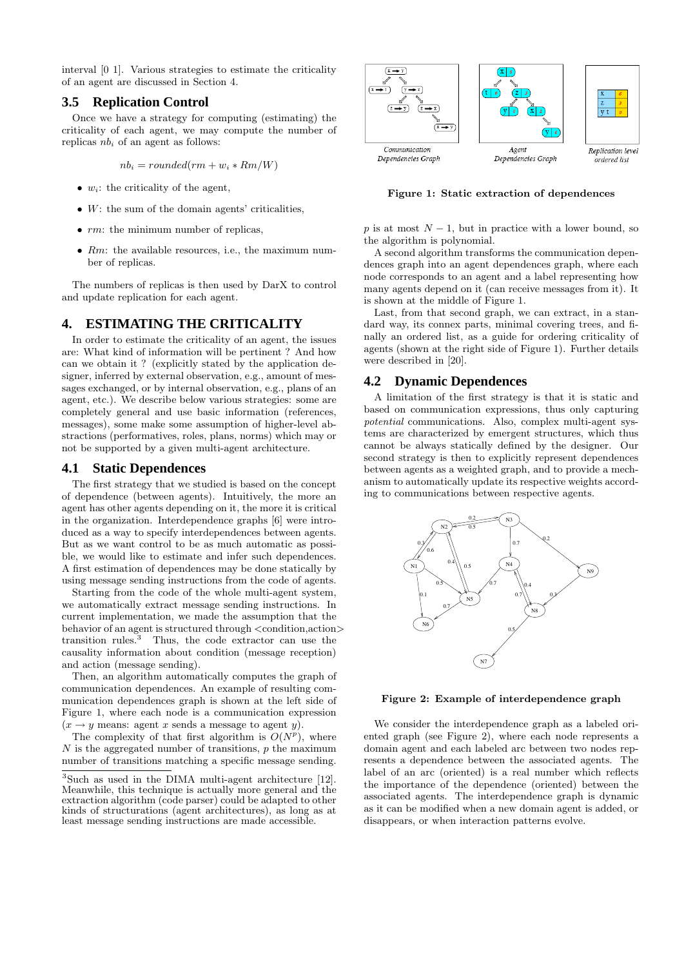interval [0 1]. Various strategies to estimate the criticality of an agent are discussed in Section 4.

## **3.5 Replication Control**

Once we have a strategy for computing (estimating) the criticality of each agent, we may compute the number of replicas  $nb_i$  of an agent as follows:

$$
nb_i = rounded(rm + w_i * Rm/W)
$$

- $w_i$ : the criticality of the agent,
- $\bullet$  W: the sum of the domain agents' criticalities,
- $rm:$  the minimum number of replicas.
- Rm: the available resources, i.e., the maximum number of replicas.

The numbers of replicas is then used by DarX to control and update replication for each agent.

# **4. ESTIMATING THE CRITICALITY**

In order to estimate the criticality of an agent, the issues are: What kind of information will be pertinent ? And how can we obtain it ? (explicitly stated by the application designer, inferred by external observation, e.g., amount of messages exchanged, or by internal observation, e.g., plans of an agent, etc.). We describe below various strategies: some are completely general and use basic information (references, messages), some make some assumption of higher-level abstractions (performatives, roles, plans, norms) which may or not be supported by a given multi-agent architecture.

#### **4.1 Static Dependences**

The first strategy that we studied is based on the concept of dependence (between agents). Intuitively, the more an agent has other agents depending on it, the more it is critical in the organization. Interdependence graphs [6] were introduced as a way to specify interdependences between agents. But as we want control to be as much automatic as possible, we would like to estimate and infer such dependences. A first estimation of dependences may be done statically by using message sending instructions from the code of agents.

Starting from the code of the whole multi-agent system, we automatically extract message sending instructions. In current implementation, we made the assumption that the behavior of an agent is structured through  $\langle$  condition,action $\rangle$ transition rules.<sup>3</sup> Thus, the code extractor can use the causality information about condition (message reception) and action (message sending).

Then, an algorithm automatically computes the graph of communication dependences. An example of resulting communication dependences graph is shown at the left side of Figure 1, where each node is a communication expression  $(x \rightarrow y$  means: agent x sends a message to agent y).

The complexity of that first algorithm is  $O(N^p)$ , where  $N$  is the aggregated number of transitions,  $p$  the maximum number of transitions matching a specific message sending.



Figure 1: Static extraction of dependences

p is at most  $N-1$ , but in practice with a lower bound, so the algorithm is polynomial.

A second algorithm transforms the communication dependences graph into an agent dependences graph, where each node corresponds to an agent and a label representing how many agents depend on it (can receive messages from it). It is shown at the middle of Figure 1.

Last, from that second graph, we can extract, in a standard way, its connex parts, minimal covering trees, and finally an ordered list, as a guide for ordering criticality of agents (shown at the right side of Figure 1). Further details were described in [20].

## **4.2 Dynamic Dependences**

A limitation of the first strategy is that it is static and based on communication expressions, thus only capturing potential communications. Also, complex multi-agent systems are characterized by emergent structures, which thus cannot be always statically defined by the designer. Our second strategy is then to explicitly represent dependences between agents as a weighted graph, and to provide a mechanism to automatically update its respective weights according to communications between respective agents.



Figure 2: Example of interdependence graph

We consider the interdependence graph as a labeled oriented graph (see Figure 2), where each node represents a domain agent and each labeled arc between two nodes represents a dependence between the associated agents. The label of an arc (oriented) is a real number which reflects the importance of the dependence (oriented) between the associated agents. The interdependence graph is dynamic as it can be modified when a new domain agent is added, or disappears, or when interaction patterns evolve.

<sup>3</sup>Such as used in the DIMA multi-agent architecture [12]. Meanwhile, this technique is actually more general and the extraction algorithm (code parser) could be adapted to other kinds of structurations (agent architectures), as long as at least message sending instructions are made accessible.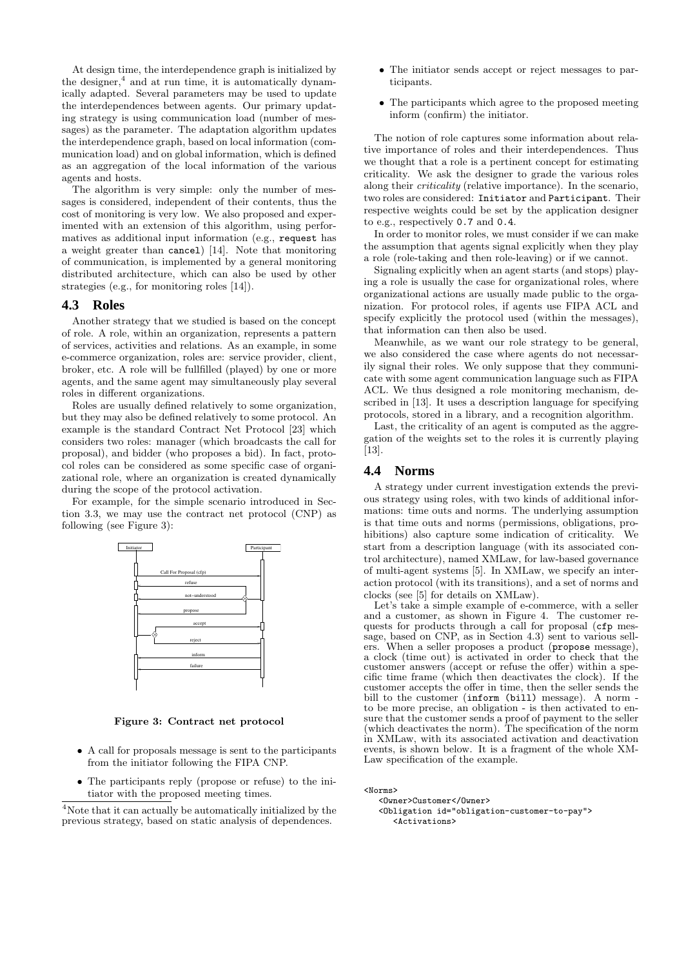At design time, the interdependence graph is initialized by the designer,<sup>4</sup> and at run time, it is automatically dynamically adapted. Several parameters may be used to update the interdependences between agents. Our primary updating strategy is using communication load (number of messages) as the parameter. The adaptation algorithm updates the interdependence graph, based on local information (communication load) and on global information, which is defined as an aggregation of the local information of the various agents and hosts.

The algorithm is very simple: only the number of messages is considered, independent of their contents, thus the cost of monitoring is very low. We also proposed and experimented with an extension of this algorithm, using performatives as additional input information (e.g., request has a weight greater than cancel) [14]. Note that monitoring of communication, is implemented by a general monitoring distributed architecture, which can also be used by other strategies (e.g., for monitoring roles [14]).

#### **4.3 Roles**

Another strategy that we studied is based on the concept of role. A role, within an organization, represents a pattern of services, activities and relations. As an example, in some e-commerce organization, roles are: service provider, client, broker, etc. A role will be fullfilled (played) by one or more agents, and the same agent may simultaneously play several roles in different organizations.

Roles are usually defined relatively to some organization, but they may also be defined relatively to some protocol. An example is the standard Contract Net Protocol [23] which considers two roles: manager (which broadcasts the call for proposal), and bidder (who proposes a bid). In fact, protocol roles can be considered as some specific case of organizational role, where an organization is created dynamically during the scope of the protocol activation.

For example, for the simple scenario introduced in Section 3.3, we may use the contract net protocol (CNP) as following (see Figure 3):



Figure 3: Contract net protocol

- A call for proposals message is sent to the participants from the initiator following the FIPA CNP.
- The participants reply (propose or refuse) to the initiator with the proposed meeting times.

<sup>4</sup>Note that it can actually be automatically initialized by the previous strategy, based on static analysis of dependences.

- The initiator sends accept or reject messages to participants.
- The participants which agree to the proposed meeting inform (confirm) the initiator.

The notion of role captures some information about relative importance of roles and their interdependences. Thus we thought that a role is a pertinent concept for estimating criticality. We ask the designer to grade the various roles along their criticality (relative importance). In the scenario, two roles are considered: Initiator and Participant. Their respective weights could be set by the application designer to e.g., respectively 0.7 and 0.4.

In order to monitor roles, we must consider if we can make the assumption that agents signal explicitly when they play a role (role-taking and then role-leaving) or if we cannot.

Signaling explicitly when an agent starts (and stops) playing a role is usually the case for organizational roles, where organizational actions are usually made public to the organization. For protocol roles, if agents use FIPA ACL and specify explicitly the protocol used (within the messages), that information can then also be used.

Meanwhile, as we want our role strategy to be general, we also considered the case where agents do not necessarily signal their roles. We only suppose that they communicate with some agent communication language such as FIPA ACL. We thus designed a role monitoring mechanism, described in [13]. It uses a description language for specifying protocols, stored in a library, and a recognition algorithm.

Last, the criticality of an agent is computed as the aggregation of the weights set to the roles it is currently playing [13].

#### **4.4 Norms**

A strategy under current investigation extends the previous strategy using roles, with two kinds of additional informations: time outs and norms. The underlying assumption is that time outs and norms (permissions, obligations, prohibitions) also capture some indication of criticality. We start from a description language (with its associated control architecture), named XMLaw, for law-based governance of multi-agent systems [5]. In XMLaw, we specify an interaction protocol (with its transitions), and a set of norms and clocks (see [5] for details on XMLaw).

Let's take a simple example of e-commerce, with a seller and a customer, as shown in Figure 4. The customer requests for products through a call for proposal (cfp message, based on CNP, as in Section 4.3) sent to various sellers. When a seller proposes a product (propose message), a clock (time out) is activated in order to check that the customer answers (accept or refuse the offer) within a specific time frame (which then deactivates the clock). If the customer accepts the offer in time, then the seller sends the bill to the customer (inform (bill) message). A norm to be more precise, an obligation - is then activated to ensure that the customer sends a proof of payment to the seller (which deactivates the norm). The specification of the norm in XMLaw, with its associated activation and deactivation events, is shown below. It is a fragment of the whole XM-Law specification of the example.

<Norms>

<Owner>Customer</Owner> <Obligation id="obligation-customer-to-pay"> <Activations>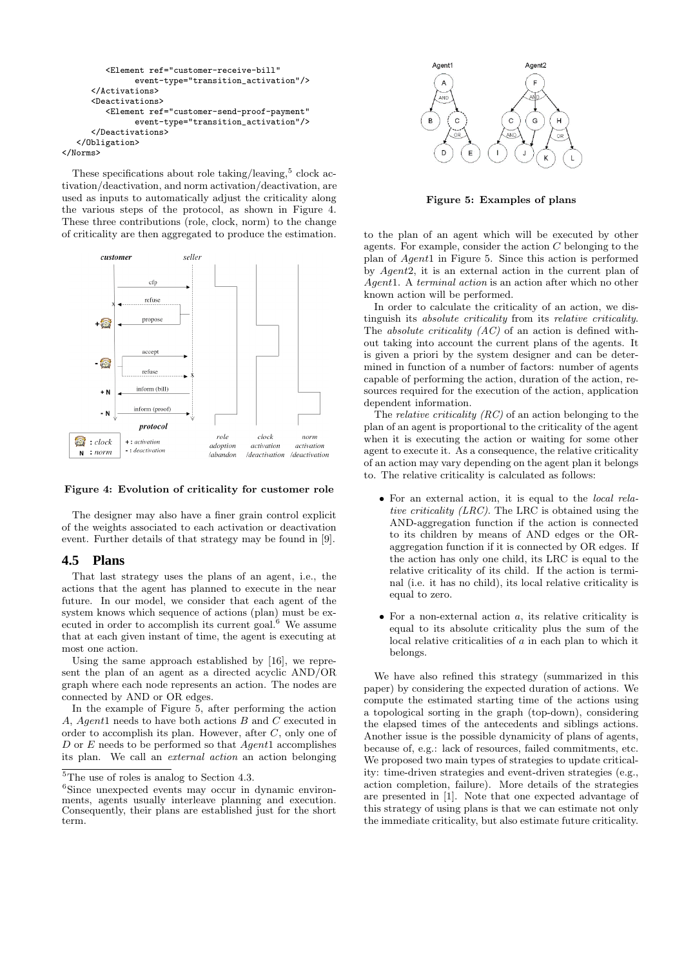```
<Element ref="customer-receive-bill"
               event-type="transition_activation"/>
      </Activations>
      <Deactivations>
         <Element ref="customer-send-proof-payment"
               event-type="transition_activation"/>
      </Deactivations>
   </Obligation>
</Norms>
```
These specifications about role taking/leaving,<sup>5</sup> clock activation/deactivation, and norm activation/deactivation, are used as inputs to automatically adjust the criticality along the various steps of the protocol, as shown in Figure 4. These three contributions (role, clock, norm) to the change of criticality are then aggregated to produce the estimation.



#### Figure 4: Evolution of criticality for customer role

The designer may also have a finer grain control explicit of the weights associated to each activation or deactivation event. Further details of that strategy may be found in [9].

#### **4.5 Plans**

That last strategy uses the plans of an agent, i.e., the actions that the agent has planned to execute in the near future. In our model, we consider that each agent of the system knows which sequence of actions (plan) must be executed in order to accomplish its current goal.<sup>6</sup> We assume that at each given instant of time, the agent is executing at most one action.

Using the same approach established by [16], we represent the plan of an agent as a directed acyclic AND/OR graph where each node represents an action. The nodes are connected by AND or OR edges.

In the example of Figure 5, after performing the action A, Agent1 needs to have both actions  $B$  and  $C$  executed in order to accomplish its plan. However, after C, only one of D or  $E$  needs to be performed so that  $Agent1$  accomplishes its plan. We call an external action an action belonging



Figure 5: Examples of plans

to the plan of an agent which will be executed by other agents. For example, consider the action  $C$  belonging to the plan of Agent1 in Figure 5. Since this action is performed by Agent2, it is an external action in the current plan of Agent1. A terminal action is an action after which no other known action will be performed.

In order to calculate the criticality of an action, we distinguish its absolute criticality from its relative criticality. The *absolute criticality*  $(AC)$  of an action is defined without taking into account the current plans of the agents. It is given a priori by the system designer and can be determined in function of a number of factors: number of agents capable of performing the action, duration of the action, resources required for the execution of the action, application dependent information.

The *relative criticality*  $(RC)$  of an action belonging to the plan of an agent is proportional to the criticality of the agent when it is executing the action or waiting for some other agent to execute it. As a consequence, the relative criticality of an action may vary depending on the agent plan it belongs to. The relative criticality is calculated as follows:

- For an external action, it is equal to the local relative criticality (LRC). The LRC is obtained using the AND-aggregation function if the action is connected to its children by means of AND edges or the ORaggregation function if it is connected by OR edges. If the action has only one child, its LRC is equal to the relative criticality of its child. If the action is terminal (i.e. it has no child), its local relative criticality is equal to zero.
- For a non-external action  $a$ , its relative criticality is equal to its absolute criticality plus the sum of the local relative criticalities of a in each plan to which it belongs.

We have also refined this strategy (summarized in this paper) by considering the expected duration of actions. We compute the estimated starting time of the actions using a topological sorting in the graph (top-down), considering the elapsed times of the antecedents and siblings actions. Another issue is the possible dynamicity of plans of agents, because of, e.g.: lack of resources, failed commitments, etc. We proposed two main types of strategies to update criticality: time-driven strategies and event-driven strategies (e.g., action completion, failure). More details of the strategies are presented in [1]. Note that one expected advantage of this strategy of using plans is that we can estimate not only the immediate criticality, but also estimate future criticality.

<sup>&</sup>lt;sup>5</sup>The use of roles is analog to Section 4.3.

<sup>&</sup>lt;sup>6</sup>Since unexpected events may occur in dynamic environments, agents usually interleave planning and execution. Consequently, their plans are established just for the short term.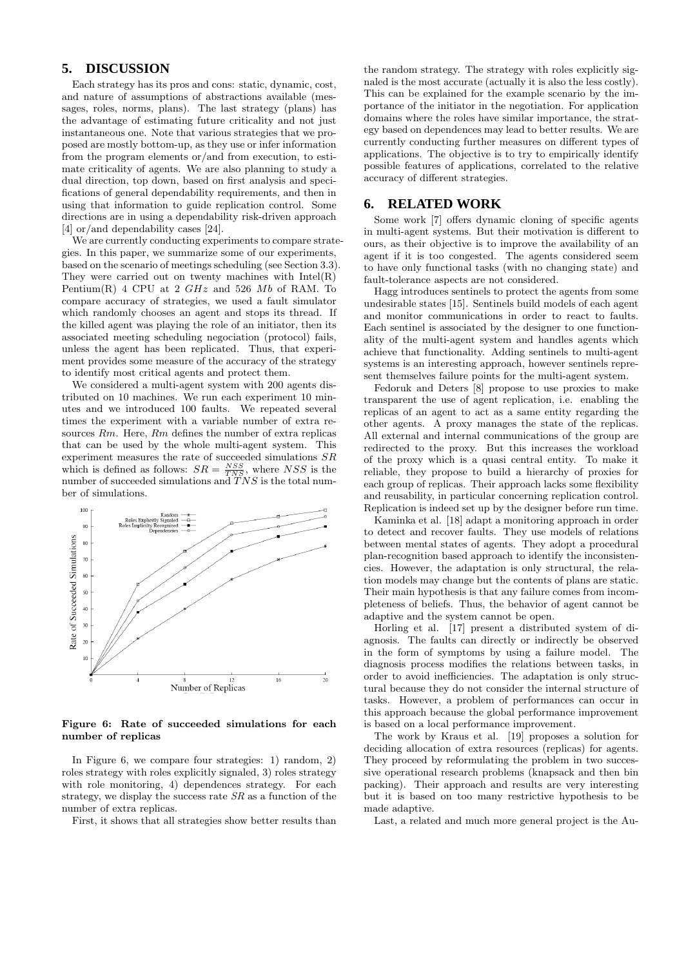## **5. DISCUSSION**

Each strategy has its pros and cons: static, dynamic, cost, and nature of assumptions of abstractions available (messages, roles, norms, plans). The last strategy (plans) has the advantage of estimating future criticality and not just instantaneous one. Note that various strategies that we proposed are mostly bottom-up, as they use or infer information from the program elements or/and from execution, to estimate criticality of agents. We are also planning to study a dual direction, top down, based on first analysis and specifications of general dependability requirements, and then in using that information to guide replication control. Some directions are in using a dependability risk-driven approach [4] or/and dependability cases [24].

We are currently conducting experiments to compare strategies. In this paper, we summarize some of our experiments, based on the scenario of meetings scheduling (see Section 3.3). They were carried out on twenty machines with  $Intel(R)$ Pentium(R) 4 CPU at 2  $GHz$  and 526 Mb of RAM. To compare accuracy of strategies, we used a fault simulator which randomly chooses an agent and stops its thread. If the killed agent was playing the role of an initiator, then its associated meeting scheduling negociation (protocol) fails, unless the agent has been replicated. Thus, that experiment provides some measure of the accuracy of the strategy to identify most critical agents and protect them.

We considered a multi-agent system with 200 agents distributed on 10 machines. We run each experiment 10 minutes and we introduced 100 faults. We repeated several times the experiment with a variable number of extra resources Rm. Here, Rm defines the number of extra replicas that can be used by the whole multi-agent system. This experiment measures the rate of succeeded simulations SR which is defined as follows:  $SR = \frac{NSS}{TNS}$ , where  $NSS$  is the number of succeeded simulations and  $TNS$  is the total number of simulations.



#### Figure 6: Rate of succeeded simulations for each number of replicas

In Figure 6, we compare four strategies: 1) random, 2) roles strategy with roles explicitly signaled, 3) roles strategy with role monitoring, 4) dependences strategy. For each strategy, we display the success rate  $SR$  as a function of the number of extra replicas.

First, it shows that all strategies show better results than

the random strategy. The strategy with roles explicitly signaled is the most accurate (actually it is also the less costly). This can be explained for the example scenario by the importance of the initiator in the negotiation. For application domains where the roles have similar importance, the strategy based on dependences may lead to better results. We are currently conducting further measures on different types of applications. The objective is to try to empirically identify possible features of applications, correlated to the relative accuracy of different strategies.

#### **6. RELATED WORK**

Some work [7] offers dynamic cloning of specific agents in multi-agent systems. But their motivation is different to ours, as their objective is to improve the availability of an agent if it is too congested. The agents considered seem to have only functional tasks (with no changing state) and fault-tolerance aspects are not considered.

Hagg introduces sentinels to protect the agents from some undesirable states [15]. Sentinels build models of each agent and monitor communications in order to react to faults. Each sentinel is associated by the designer to one functionality of the multi-agent system and handles agents which achieve that functionality. Adding sentinels to multi-agent systems is an interesting approach, however sentinels represent themselves failure points for the multi-agent system.

Fedoruk and Deters [8] propose to use proxies to make transparent the use of agent replication, i.e. enabling the replicas of an agent to act as a same entity regarding the other agents. A proxy manages the state of the replicas. All external and internal communications of the group are redirected to the proxy. But this increases the workload of the proxy which is a quasi central entity. To make it reliable, they propose to build a hierarchy of proxies for each group of replicas. Their approach lacks some flexibility and reusability, in particular concerning replication control. Replication is indeed set up by the designer before run time.

Kaminka et al. [18] adapt a monitoring approach in order to detect and recover faults. They use models of relations between mental states of agents. They adopt a procedural plan-recognition based approach to identify the inconsistencies. However, the adaptation is only structural, the relation models may change but the contents of plans are static. Their main hypothesis is that any failure comes from incompleteness of beliefs. Thus, the behavior of agent cannot be adaptive and the system cannot be open.

Horling et al. [17] present a distributed system of diagnosis. The faults can directly or indirectly be observed in the form of symptoms by using a failure model. The diagnosis process modifies the relations between tasks, in order to avoid inefficiencies. The adaptation is only structural because they do not consider the internal structure of tasks. However, a problem of performances can occur in this approach because the global performance improvement is based on a local performance improvement.

The work by Kraus et al. [19] proposes a solution for deciding allocation of extra resources (replicas) for agents. They proceed by reformulating the problem in two successive operational research problems (knapsack and then bin packing). Their approach and results are very interesting but it is based on too many restrictive hypothesis to be made adaptive.

Last, a related and much more general project is the Au-